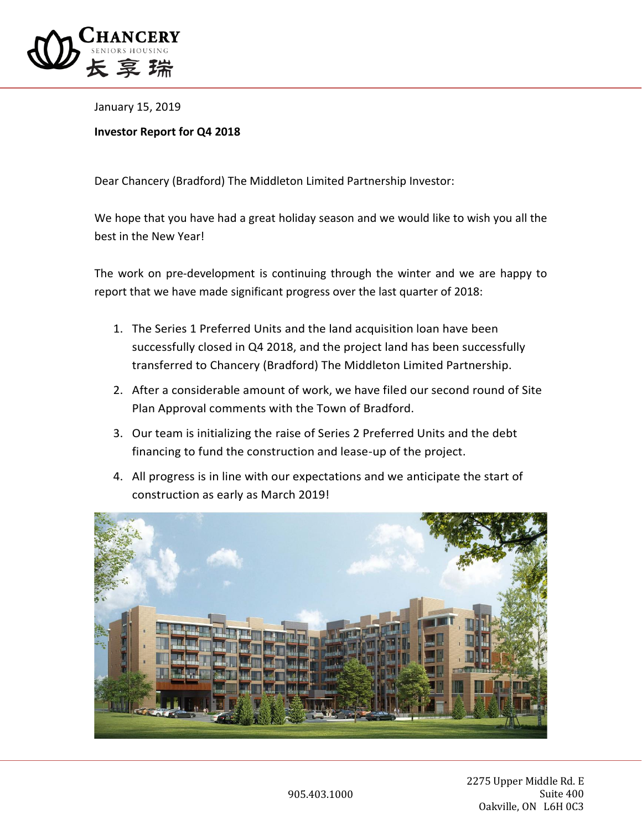

January 15, 2019

## **Investor Report for Q4 2018**

Dear Chancery (Bradford) The Middleton Limited Partnership Investor:

We hope that you have had a great holiday season and we would like to wish you all the best in the New Year!

The work on pre-development is continuing through the winter and we are happy to report that we have made significant progress over the last quarter of 2018:

- 1. The Series 1 Preferred Units and the land acquisition loan have been successfully closed in Q4 2018, and the project land has been successfully transferred to Chancery (Bradford) The Middleton Limited Partnership.
- 2. After a considerable amount of work, we have filed our second round of Site Plan Approval comments with the Town of Bradford.
- 3. Our team is initializing the raise of Series 2 Preferred Units and the debt financing to fund the construction and lease-up of the project.
- 4. All progress is in line with our expectations and we anticipate the start of construction as early as March 2019!